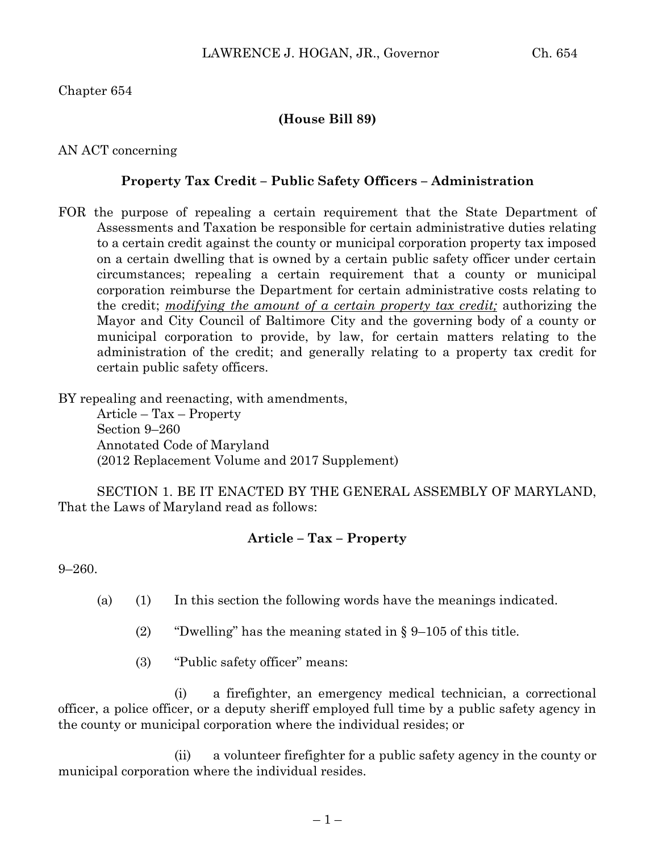Chapter 654

## **(House Bill 89)**

AN ACT concerning

## **Property Tax Credit – Public Safety Officers – Administration**

FOR the purpose of repealing a certain requirement that the State Department of Assessments and Taxation be responsible for certain administrative duties relating to a certain credit against the county or municipal corporation property tax imposed on a certain dwelling that is owned by a certain public safety officer under certain circumstances; repealing a certain requirement that a county or municipal corporation reimburse the Department for certain administrative costs relating to the credit; *modifying the amount of a certain property tax credit;* authorizing the Mayor and City Council of Baltimore City and the governing body of a county or municipal corporation to provide, by law, for certain matters relating to the administration of the credit; and generally relating to a property tax credit for certain public safety officers.

BY repealing and reenacting, with amendments,

Article – Tax – Property Section 9–260 Annotated Code of Maryland (2012 Replacement Volume and 2017 Supplement)

SECTION 1. BE IT ENACTED BY THE GENERAL ASSEMBLY OF MARYLAND, That the Laws of Maryland read as follows:

## **Article – Tax – Property**

9–260.

- (a) (1) In this section the following words have the meanings indicated.
	- (2) "Dwelling" has the meaning stated in  $\S 9-105$  of this title.
	- (3) "Public safety officer" means:

(i) a firefighter, an emergency medical technician, a correctional officer, a police officer, or a deputy sheriff employed full time by a public safety agency in the county or municipal corporation where the individual resides; or

(ii) a volunteer firefighter for a public safety agency in the county or municipal corporation where the individual resides.